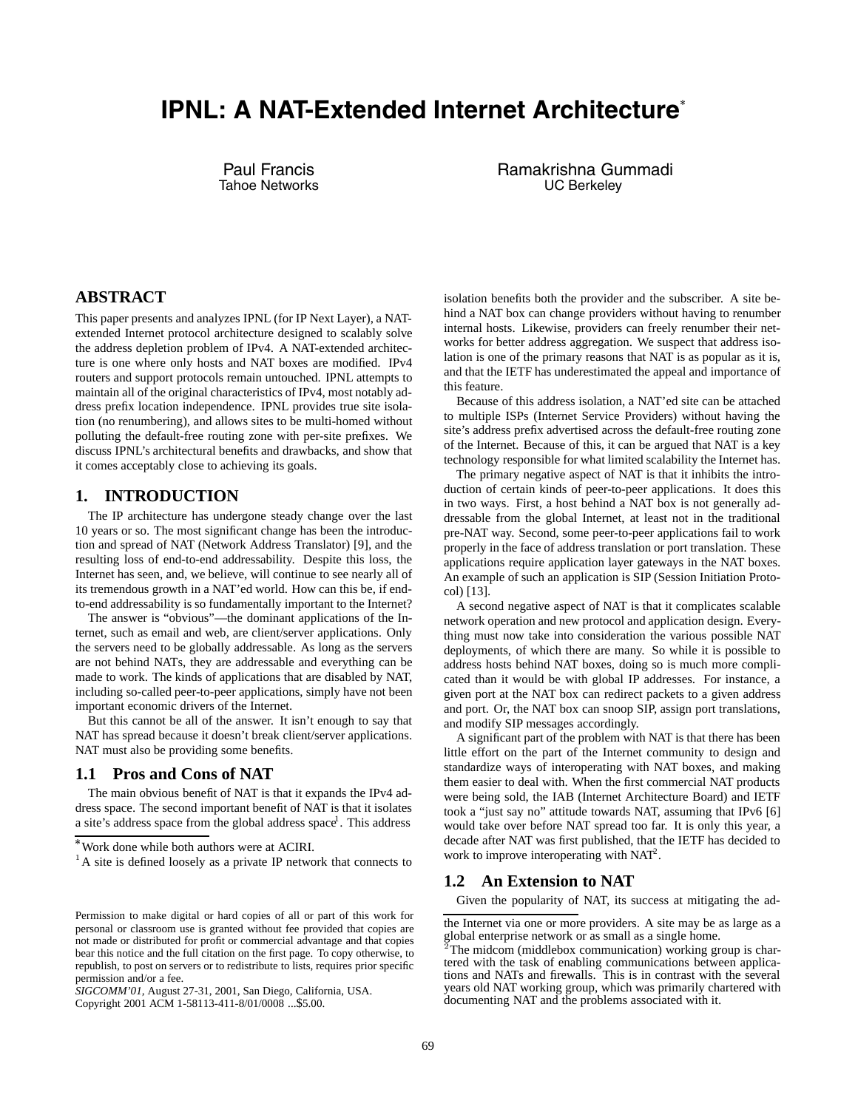# **IPNL: A NAT-Extended Internet Architecture**

Paul Francis Tahoe Networks Ramakrishna Gummadi UC Berkeley

## **ABSTRACT**

This paper presents and analyzes IPNL (for IP Next Layer), a NATextended Internet protocol architecture designed to scalably solve the address depletion problem of IPv4. A NAT-extended architecture is one where only hosts and NAT boxes are modified. IPv4 routers and support protocols remain untouched. IPNL attempts to maintain all of the original characteristics of IPv4, most notably address prefix location independence. IPNL provides true site isolation (no renumbering), and allows sites to be multi-homed without polluting the default-free routing zone with per-site prefixes. We discuss IPNL's architectural benefits and drawbacks, and show that it comes acceptably close to achieving its goals.

#### **1. INTRODUCTION**

The IP architecture has undergone steady change over the last 10 years or so. The most significant change has been the introduction and spread of NAT (Network Address Translator) [9], and the resulting loss of end-to-end addressability. Despite this loss, the Internet has seen, and, we believe, will continue to see nearly all of its tremendous growth in a NAT'ed world. How can this be, if endto-end addressability is so fundamentally important to the Internet?

The answer is "obvious"—the dominant applications of the Internet, such as email and web, are client/server applications. Only the servers need to be globally addressable. As long as the servers are not behind NATs, they are addressable and everything can be made to work. The kinds of applications that are disabled by NAT, including so-called peer-to-peer applications, simply have not been important economic drivers of the Internet.

But this cannot be all of the answer. It isn't enough to say that NAT has spread because it doesn't break client/server applications. NAT must also be providing some benefits.

## **1.1 Pros and Cons of NAT**

The main obvious benefit of NAT is that it expands the IPv4 address space. The second important benefit of NAT is that it isolates a site's address space from the global address space<sup>1</sup>. This address

Copyright 2001 ACM 1-58113-411-8/01/0008 ...\$5.00.

isolation benefits both the provider and the subscriber. A site behind a NAT box can change providers without having to renumber internal hosts. Likewise, providers can freely renumber their networks for better address aggregation. We suspect that address isolation is one of the primary reasons that NAT is as popular as it is, and that the IETF has underestimated the appeal and importance of this feature.

Because of this address isolation, a NAT'ed site can be attached to multiple ISPs (Internet Service Providers) without having the site's address prefix advertised across the default-free routing zone of the Internet. Because of this, it can be argued that NAT is a key technology responsible for what limited scalability the Internet has.

The primary negative aspect of NAT is that it inhibits the introduction of certain kinds of peer-to-peer applications. It does this in two ways. First, a host behind a NAT box is not generally addressable from the global Internet, at least not in the traditional pre-NAT way. Second, some peer-to-peer applications fail to work properly in the face of address translation or port translation. These applications require application layer gateways in the NAT boxes. An example of such an application is SIP (Session Initiation Protocol) [13].

A second negative aspect of NAT is that it complicates scalable network operation and new protocol and application design. Everything must now take into consideration the various possible NAT deployments, of which there are many. So while it is possible to address hosts behind NAT boxes, doing so is much more complicated than it would be with global IP addresses. For instance, a given port at the NAT box can redirect packets to a given address and port. Or, the NAT box can snoop SIP, assign port translations, and modify SIP messages accordingly.

A significant part of the problem with NAT is that there has been little effort on the part of the Internet community to design and standardize ways of interoperating with NAT boxes, and making them easier to deal with. When the first commercial NAT products were being sold, the IAB (Internet Architecture Board) and IETF took a "just say no" attitude towards NAT, assuming that IPv6 [6] would take over before NAT spread too far. It is only this year, a decade after NAT was first published, that the IETF has decided to work to improve interoperating with  $NAT^2$ .

## **1.2 An Extension to NAT**

Given the popularity of NAT, its success at mitigating the ad-

Work done while both authors were at ACIRI.

<sup>&</sup>lt;sup>1</sup>A site is defined loosely as a private IP network that connects to

Permission to make digital or hard copies of all or part of this work for personal or classroom use is granted without fee provided that copies are not made or distributed for profit or commercial advantage and that copies bear this notice and the full citation on the first page. To copy otherwise, to republish, to post on servers or to redistribute to lists, requires prior specific permission and/or a fee.

*SIGCOMM'01,* August 27-31, 2001, San Diego, California, USA.

the Internet via one or more providers. A site may be as large as a global enterprise network or as small as a single home.

<sup>&</sup>lt;sup>2</sup>The midcom (middlebox communication) working group is chartered with the task of enabling communications between applications and NATs and firewalls. This is in contrast with the several years old NAT working group, which was primarily chartered with documenting NAT and the problems associated with it.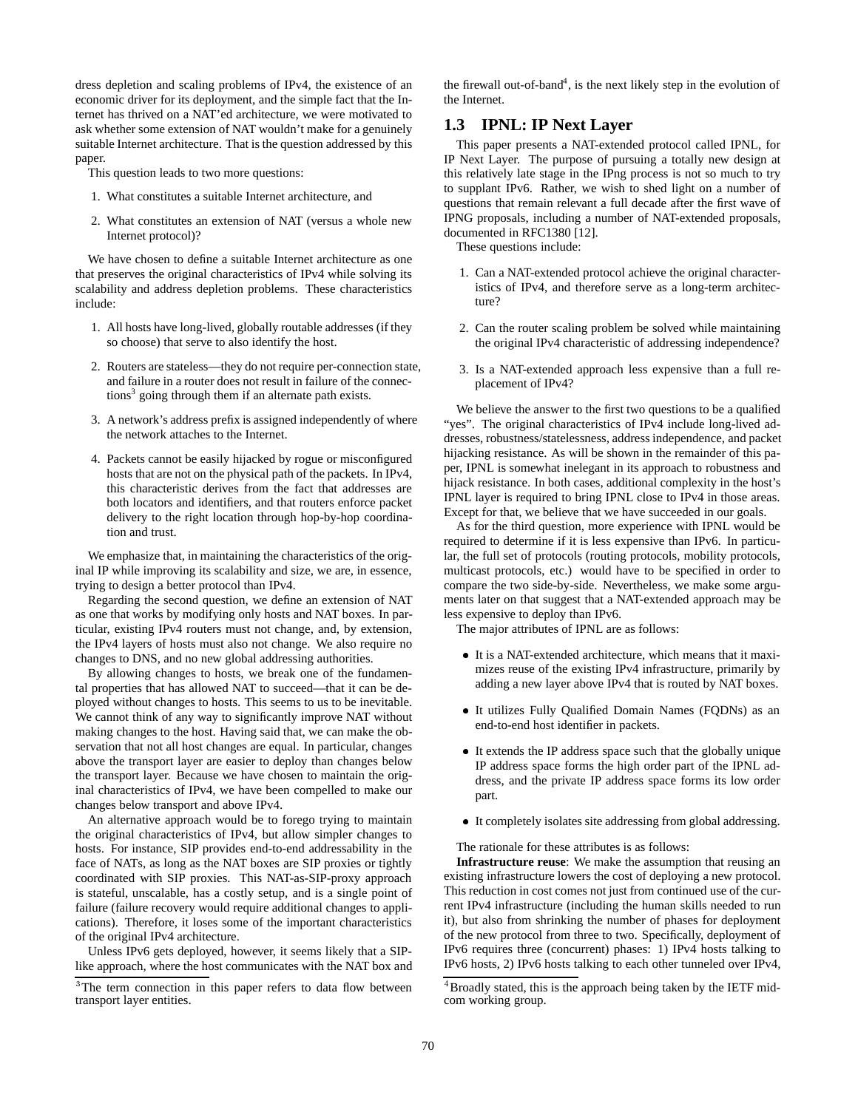dress depletion and scaling problems of IPv4, the existence of an economic driver for its deployment, and the simple fact that the Internet has thrived on a NAT'ed architecture, we were motivated to ask whether some extension of NAT wouldn't make for a genuinely suitable Internet architecture. That is the question addressed by this paper.

This question leads to two more questions:

- 1. What constitutes a suitable Internet architecture, and
- 2. What constitutes an extension of NAT (versus a whole new Internet protocol)?

We have chosen to define a suitable Internet architecture as one that preserves the original characteristics of IPv4 while solving its scalability and address depletion problems. These characteristics include:

- 1. All hosts have long-lived, globally routable addresses (if they so choose) that serve to also identify the host.
- 2. Routers are stateless—they do not require per-connection state, and failure in a router does not result in failure of the connections<sup>3</sup> going through them if an alternate path exists.
- 3. A network's address prefix is assigned independently of where the network attaches to the Internet.
- 4. Packets cannot be easily hijacked by rogue or misconfigured hosts that are not on the physical path of the packets. In IPv4, this characteristic derives from the fact that addresses are both locators and identifiers, and that routers enforce packet delivery to the right location through hop-by-hop coordination and trust.

We emphasize that, in maintaining the characteristics of the original IP while improving its scalability and size, we are, in essence, trying to design a better protocol than IPv4.

Regarding the second question, we define an extension of NAT as one that works by modifying only hosts and NAT boxes. In particular, existing IPv4 routers must not change, and, by extension, the IPv4 layers of hosts must also not change. We also require no changes to DNS, and no new global addressing authorities.

By allowing changes to hosts, we break one of the fundamental properties that has allowed NAT to succeed—that it can be deployed without changes to hosts. This seems to us to be inevitable. We cannot think of any way to significantly improve NAT without making changes to the host. Having said that, we can make the observation that not all host changes are equal. In particular, changes above the transport layer are easier to deploy than changes below the transport layer. Because we have chosen to maintain the original characteristics of IPv4, we have been compelled to make our changes below transport and above IPv4.

An alternative approach would be to forego trying to maintain the original characteristics of IPv4, but allow simpler changes to hosts. For instance, SIP provides end-to-end addressability in the face of NATs, as long as the NAT boxes are SIP proxies or tightly coordinated with SIP proxies. This NAT-as-SIP-proxy approach is stateful, unscalable, has a costly setup, and is a single point of failure (failure recovery would require additional changes to applications). Therefore, it loses some of the important characteristics of the original IPv4 architecture.

Unless IPv6 gets deployed, however, it seems likely that a SIPlike approach, where the host communicates with the NAT box and the firewall out-of-band<sup>4</sup>, is the next likely step in the evolution of the Internet.

## **1.3 IPNL: IP Next Layer**

This paper presents a NAT-extended protocol called IPNL, for IP Next Layer. The purpose of pursuing a totally new design at this relatively late stage in the IPng process is not so much to try to supplant IPv6. Rather, we wish to shed light on a number of questions that remain relevant a full decade after the first wave of IPNG proposals, including a number of NAT-extended proposals, documented in RFC1380 [12].

These questions include:

- 1. Can a NAT-extended protocol achieve the original characteristics of IPv4, and therefore serve as a long-term architecture?
- 2. Can the router scaling problem be solved while maintaining the original IPv4 characteristic of addressing independence?
- 3. Is a NAT-extended approach less expensive than a full replacement of IPv4?

We believe the answer to the first two questions to be a qualified "yes". The original characteristics of IPv4 include long-lived addresses, robustness/statelessness, address independence, and packet hijacking resistance. As will be shown in the remainder of this paper, IPNL is somewhat inelegant in its approach to robustness and hijack resistance. In both cases, additional complexity in the host's IPNL layer is required to bring IPNL close to IPv4 in those areas. Except for that, we believe that we have succeeded in our goals.

As for the third question, more experience with IPNL would be required to determine if it is less expensive than IPv6. In particular, the full set of protocols (routing protocols, mobility protocols, multicast protocols, etc.) would have to be specified in order to compare the two side-by-side. Nevertheless, we make some arguments later on that suggest that a NAT-extended approach may be less expensive to deploy than IPv6.

The major attributes of IPNL are as follows:

- It is a NAT-extended architecture, which means that it maximizes reuse of the existing IPv4 infrastructure, primarily by adding a new layer above IPv4 that is routed by NAT boxes.
- It utilizes Fully Qualified Domain Names (FQDNs) as an end-to-end host identifier in packets.
- It extends the IP address space such that the globally unique IP address space forms the high order part of the IPNL address, and the private IP address space forms its low order part.
- It completely isolates site addressing from global addressing.

The rationale for these attributes is as follows:

**Infrastructure reuse**: We make the assumption that reusing an existing infrastructure lowers the cost of deploying a new protocol. This reduction in cost comes not just from continued use of the current IPv4 infrastructure (including the human skills needed to run it), but also from shrinking the number of phases for deployment of the new protocol from three to two. Specifically, deployment of IPv6 requires three (concurrent) phases: 1) IPv4 hosts talking to IPv6 hosts, 2) IPv6 hosts talking to each other tunneled over IPv4,

<sup>&</sup>lt;sup>3</sup>The term connection in this paper refers to data flow between transport layer entities.

<sup>&</sup>lt;sup>4</sup>Broadly stated, this is the approach being taken by the IETF midcom working group.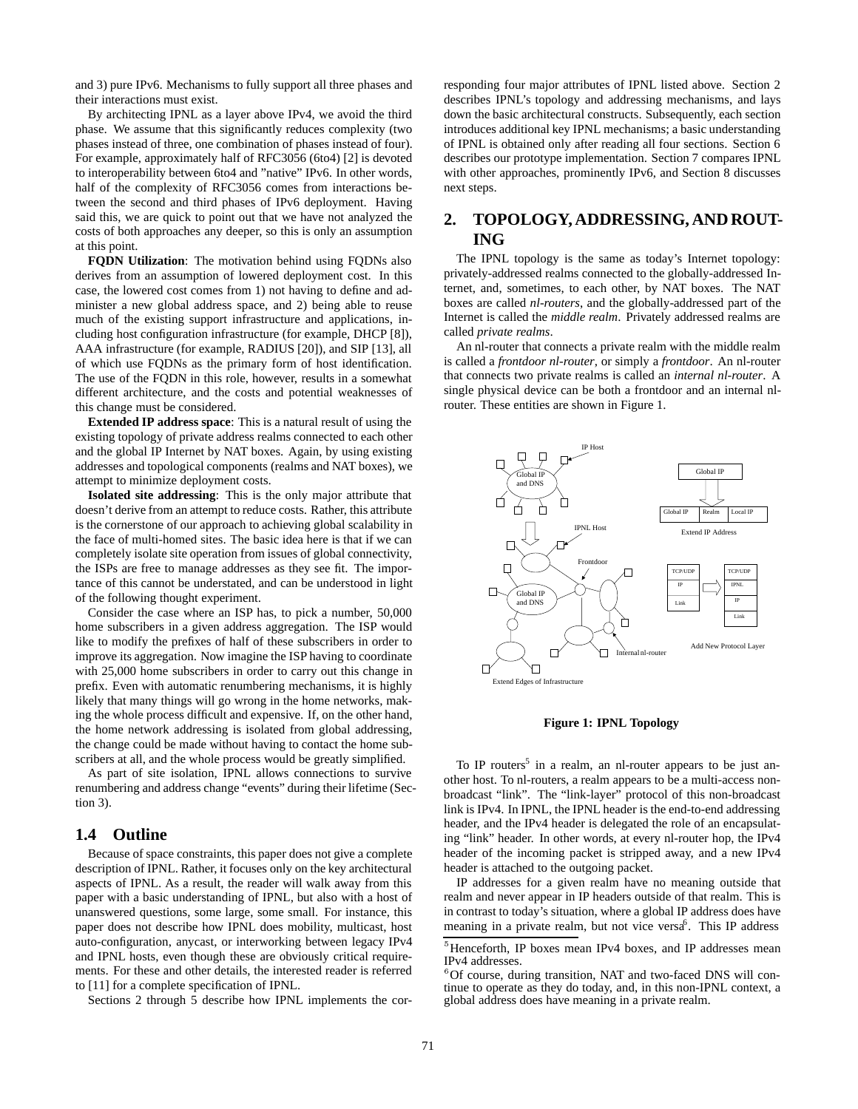and 3) pure IPv6. Mechanisms to fully support all three phases and their interactions must exist.

By architecting IPNL as a layer above IPv4, we avoid the third phase. We assume that this significantly reduces complexity (two phases instead of three, one combination of phases instead of four). For example, approximately half of RFC3056 (6to4) [2] is devoted to interoperability between 6to4 and "native" IPv6. In other words, half of the complexity of RFC3056 comes from interactions between the second and third phases of IPv6 deployment. Having said this, we are quick to point out that we have not analyzed the costs of both approaches any deeper, so this is only an assumption at this point.

**FODN Utilization**: The motivation behind using FODNs also derives from an assumption of lowered deployment cost. In this case, the lowered cost comes from 1) not having to define and administer a new global address space, and 2) being able to reuse much of the existing support infrastructure and applications, including host configuration infrastructure (for example, DHCP [8]), AAA infrastructure (for example, RADIUS [20]), and SIP [13], all of which use FQDNs as the primary form of host identification. The use of the FQDN in this role, however, results in a somewhat different architecture, and the costs and potential weaknesses of this change must be considered.

**Extended IP address space**: This is a natural result of using the existing topology of private address realms connected to each other and the global IP Internet by NAT boxes. Again, by using existing addresses and topological components (realms and NAT boxes), we attempt to minimize deployment costs.

**Isolated site addressing**: This is the only major attribute that doesn't derive from an attempt to reduce costs. Rather, this attribute is the cornerstone of our approach to achieving global scalability in the face of multi-homed sites. The basic idea here is that if we can completely isolate site operation from issues of global connectivity, the ISPs are free to manage addresses as they see fit. The importance of this cannot be understated, and can be understood in light of the following thought experiment.

Consider the case where an ISP has, to pick a number, 50,000 home subscribers in a given address aggregation. The ISP would like to modify the prefixes of half of these subscribers in order to improve its aggregation. Now imagine the ISP having to coordinate with 25,000 home subscribers in order to carry out this change in prefix. Even with automatic renumbering mechanisms, it is highly likely that many things will go wrong in the home networks, making the whole process difficult and expensive. If, on the other hand, the home network addressing is isolated from global addressing, the change could be made without having to contact the home subscribers at all, and the whole process would be greatly simplified.

As part of site isolation, IPNL allows connections to survive renumbering and address change "events" during their lifetime (Section 3).

## **1.4 Outline**

Because of space constraints, this paper does not give a complete description of IPNL. Rather, it focuses only on the key architectural aspects of IPNL. As a result, the reader will walk away from this paper with a basic understanding of IPNL, but also with a host of unanswered questions, some large, some small. For instance, this paper does not describe how IPNL does mobility, multicast, host auto-configuration, anycast, or interworking between legacy IPv4 and IPNL hosts, even though these are obviously critical requirements. For these and other details, the interested reader is referred to [11] for a complete specification of IPNL.

Sections 2 through 5 describe how IPNL implements the cor-

responding four major attributes of IPNL listed above. Section 2 describes IPNL's topology and addressing mechanisms, and lays down the basic architectural constructs. Subsequently, each section introduces additional key IPNL mechanisms; a basic understanding of IPNL is obtained only after reading all four sections. Section 6 describes our prototype implementation. Section 7 compares IPNL with other approaches, prominently IPv6, and Section 8 discusses next steps.

# **2. TOPOLOGY, ADDRESSING, AND ROUT-ING**

The IPNL topology is the same as today's Internet topology: privately-addressed realms connected to the globally-addressed Internet, and, sometimes, to each other, by NAT boxes. The NAT boxes are called *nl-routers*, and the globally-addressed part of the Internet is called the *middle realm*. Privately addressed realms are called *private realms*.

An nl-router that connects a private realm with the middle realm is called a *frontdoor nl-router*, or simply a *frontdoor*. An nl-router that connects two private realms is called an *internal nl-router*. A single physical device can be both a frontdoor and an internal nlrouter. These entities are shown in Figure 1.



**Figure 1: IPNL Topology**

To IP routers<sup>5</sup> in a realm, an nl-router appears to be just another host. To nl-routers, a realm appears to be a multi-access nonbroadcast "link". The "link-layer" protocol of this non-broadcast link is IPv4. In IPNL, the IPNL header is the end-to-end addressing header, and the IPv4 header is delegated the role of an encapsulating "link" header. In other words, at every nl-router hop, the IPv4 header of the incoming packet is stripped away, and a new IPv4 header is attached to the outgoing packet.

IP addresses for a given realm have no meaning outside that realm and never appear in IP headers outside of that realm. This is in contrast to today's situation, where a global IP address does have meaning in a private realm, but not vice versa<sup>6</sup>. This IP address

<sup>&</sup>lt;sup>3</sup>Henceforth, IP boxes mean IPv4 boxes, and IP addresses mean IPv4 addresses.

<sup>&</sup>lt;sup>6</sup>Of course, during transition, NAT and two-faced DNS will continue to operate as they do today, and, in this non-IPNL context, a global address does have meaning in a private realm.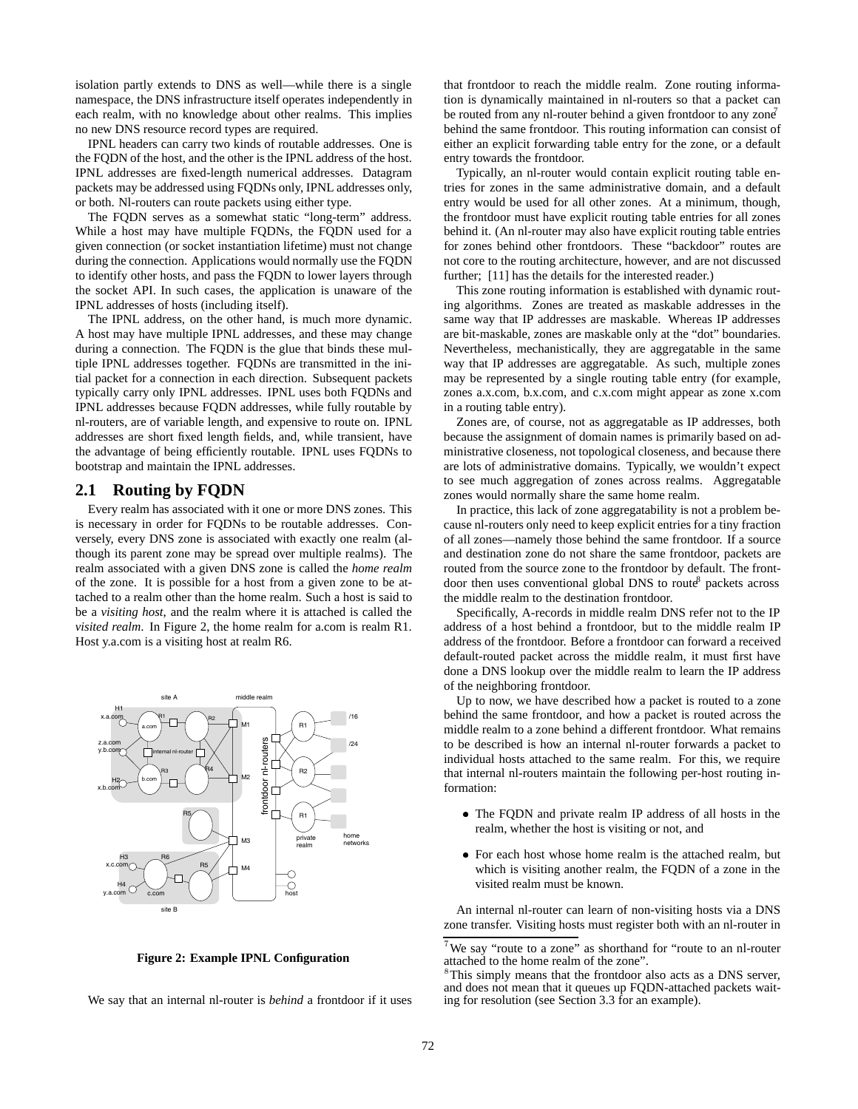isolation partly extends to DNS as well—while there is a single namespace, the DNS infrastructure itself operates independently in each realm, with no knowledge about other realms. This implies no new DNS resource record types are required.

IPNL headers can carry two kinds of routable addresses. One is the FQDN of the host, and the other is the IPNL address of the host. IPNL addresses are fixed-length numerical addresses. Datagram packets may be addressed using FQDNs only, IPNL addresses only, or both. Nl-routers can route packets using either type.

The FQDN serves as a somewhat static "long-term" address. While a host may have multiple FQDNs, the FQDN used for a given connection (or socket instantiation lifetime) must not change during the connection. Applications would normally use the FQDN to identify other hosts, and pass the FQDN to lower layers through the socket API. In such cases, the application is unaware of the IPNL addresses of hosts (including itself).

The IPNL address, on the other hand, is much more dynamic. A host may have multiple IPNL addresses, and these may change during a connection. The FQDN is the glue that binds these multiple IPNL addresses together. FQDNs are transmitted in the initial packet for a connection in each direction. Subsequent packets typically carry only IPNL addresses. IPNL uses both FQDNs and IPNL addresses because FQDN addresses, while fully routable by nl-routers, are of variable length, and expensive to route on. IPNL addresses are short fixed length fields, and, while transient, have the advantage of being efficiently routable. IPNL uses FQDNs to bootstrap and maintain the IPNL addresses.

#### **2.1 Routing by FQDN**

Every realm has associated with it one or more DNS zones. This is necessary in order for FQDNs to be routable addresses. Conversely, every DNS zone is associated with exactly one realm (although its parent zone may be spread over multiple realms). The realm associated with a given DNS zone is called the *home realm* of the zone. It is possible for a host from a given zone to be attached to a realm other than the home realm. Such a host is said to be a *visiting host*, and the realm where it is attached is called the *visited realm*. In Figure 2, the home realm for a.com is realm R1. Host y.a.com is a visiting host at realm R6.



**Figure 2: Example IPNL Configuration**

We say that an internal nl-router is *behind* a frontdoor if it uses

that frontdoor to reach the middle realm. Zone routing information is dynamically maintained in nl-routers so that a packet can be routed from any nl-router behind a given frontdoor to any  $z$ one<sup>7</sup> behind the same frontdoor. This routing information can consist of either an explicit forwarding table entry for the zone, or a default entry towards the frontdoor.

Typically, an nl-router would contain explicit routing table entries for zones in the same administrative domain, and a default entry would be used for all other zones. At a minimum, though, the frontdoor must have explicit routing table entries for all zones behind it. (An nl-router may also have explicit routing table entries for zones behind other frontdoors. These "backdoor" routes are not core to the routing architecture, however, and are not discussed further; [11] has the details for the interested reader.)

This zone routing information is established with dynamic routing algorithms. Zones are treated as maskable addresses in the same way that IP addresses are maskable. Whereas IP addresses are bit-maskable, zones are maskable only at the "dot" boundaries. Nevertheless, mechanistically, they are aggregatable in the same way that IP addresses are aggregatable. As such, multiple zones may be represented by a single routing table entry (for example, zones a.x.com, b.x.com, and c.x.com might appear as zone x.com in a routing table entry).

Zones are, of course, not as aggregatable as IP addresses, both because the assignment of domain names is primarily based on administrative closeness, not topological closeness, and because there are lots of administrative domains. Typically, we wouldn't expect to see much aggregation of zones across realms. Aggregatable zones would normally share the same home realm.

In practice, this lack of zone aggregatability is not a problem because nl-routers only need to keep explicit entries for a tiny fraction of all zones—namely those behind the same frontdoor. If a source and destination zone do not share the same frontdoor, packets are routed from the source zone to the frontdoor by default. The frontdoor then uses conventional global DNS to route<sup>8</sup> packets across the middle realm to the destination frontdoor.

Specifically, A-records in middle realm DNS refer not to the IP address of a host behind a frontdoor, but to the middle realm IP address of the frontdoor. Before a frontdoor can forward a received default-routed packet across the middle realm, it must first have done a DNS lookup over the middle realm to learn the IP address of the neighboring frontdoor.

Up to now, we have described how a packet is routed to a zone behind the same frontdoor, and how a packet is routed across the middle realm to a zone behind a different frontdoor. What remains to be described is how an internal nl-router forwards a packet to individual hosts attached to the same realm. For this, we require that internal nl-routers maintain the following per-host routing information:

- The FQDN and private realm IP address of all hosts in the realm, whether the host is visiting or not, and
- For each host whose home realm is the attached realm, but which is visiting another realm, the FQDN of a zone in the visited realm must be known.

An internal nl-router can learn of non-visiting hosts via a DNS zone transfer. Visiting hosts must register both with an nl-router in

<sup>7</sup> We say "route to a zone" as shorthand for "route to an nl-router attached to the home realm of the zone".

<sup>&</sup>lt;sup>8</sup>This simply means that the frontdoor also acts as a DNS server, and does not mean that it queues up FQDN-attached packets waiting for resolution (see Section 3.3 for an example).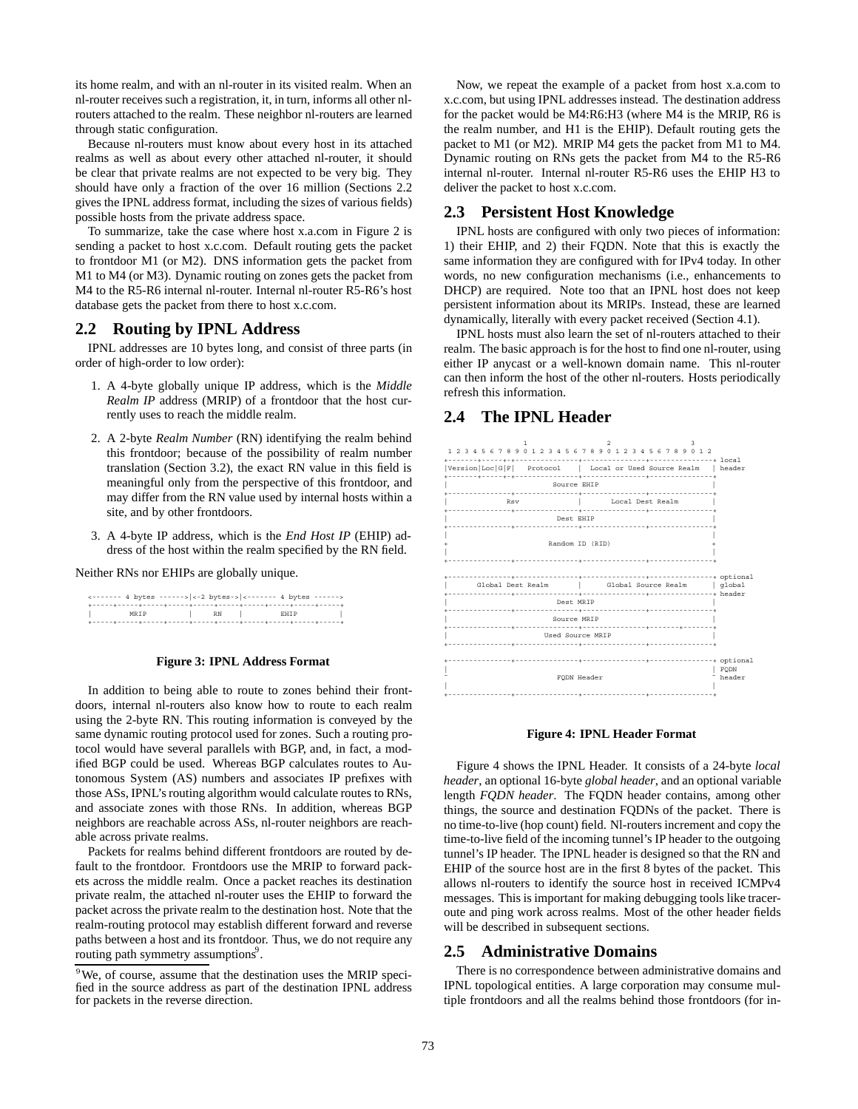its home realm, and with an nl-router in its visited realm. When an nl-router receives such a registration, it, in turn, informs all other nlrouters attached to the realm. These neighbor nl-routers are learned through static configuration.

Because nl-routers must know about every host in its attached realms as well as about every other attached nl-router, it should be clear that private realms are not expected to be very big. They should have only a fraction of the over 16 million (Sections 2.2 gives the IPNL address format, including the sizes of various fields) possible hosts from the private address space.

To summarize, take the case where host x.a.com in Figure 2 is sending a packet to host x.c.com. Default routing gets the packet to frontdoor M1 (or M2). DNS information gets the packet from M1 to M4 (or M3). Dynamic routing on zones gets the packet from M4 to the R5-R6 internal nl-router. Internal nl-router R5-R6's host database gets the packet from there to host x.c.com.

#### **2.2 Routing by IPNL Address**

IPNL addresses are 10 bytes long, and consist of three parts (in order of high-order to low order):

- 1. A 4-byte globally unique IP address, which is the *Middle Realm IP* address (MRIP) of a frontdoor that the host currently uses to reach the middle realm.
- 2. A 2-byte *Realm Number* (RN) identifying the realm behind this frontdoor; because of the possibility of realm number translation (Section 3.2), the exact RN value in this field is meaningful only from the perspective of this frontdoor, and may differ from the RN value used by internal hosts within a site, and by other frontdoors.
- 3. A 4-byte IP address, which is the *End Host IP* (EHIP) address of the host within the realm specified by the RN field.

Neither RNs nor EHIPs are globally unique.

| <------ 4 bytes ------>   <-2 bytes->   <------- 4 bytes ------> |      |             |  |
|------------------------------------------------------------------|------|-------------|--|
|                                                                  |      |             |  |
| MRTP                                                             | RN 1 | <b>RHTP</b> |  |
|                                                                  |      |             |  |

#### **Figure 3: IPNL Address Format**

In addition to being able to route to zones behind their frontdoors, internal nl-routers also know how to route to each realm using the 2-byte RN. This routing information is conveyed by the same dynamic routing protocol used for zones. Such a routing protocol would have several parallels with BGP, and, in fact, a modified BGP could be used. Whereas BGP calculates routes to Autonomous System (AS) numbers and associates IP prefixes with those ASs, IPNL's routing algorithm would calculate routes to RNs, and associate zones with those RNs. In addition, whereas BGP neighbors are reachable across ASs, nl-router neighbors are reachable across private realms.

Packets for realms behind different frontdoors are routed by default to the frontdoor. Frontdoors use the MRIP to forward packets across the middle realm. Once a packet reaches its destination private realm, the attached nl-router uses the EHIP to forward the packet across the private realm to the destination host. Note that the realm-routing protocol may establish different forward and reverse paths between a host and its frontdoor. Thus, we do not require any routing path symmetry assumptions<sup>9</sup>.

Now, we repeat the example of a packet from host x.a.com to x.c.com, but using IPNL addresses instead. The destination address for the packet would be M4:R6:H3 (where M4 is the MRIP, R6 is the realm number, and H1 is the EHIP). Default routing gets the packet to M1 (or M2). MRIP M4 gets the packet from M1 to M4. Dynamic routing on RNs gets the packet from M4 to the R5-R6 internal nl-router. Internal nl-router R5-R6 uses the EHIP H3 to deliver the packet to host x.c.com.

## **2.3 Persistent Host Knowledge**

IPNL hosts are configured with only two pieces of information: 1) their EHIP, and 2) their FQDN. Note that this is exactly the same information they are configured with for IPv4 today. In other words, no new configuration mechanisms (i.e., enhancements to DHCP) are required. Note too that an IPNL host does not keep persistent information about its MRIPs. Instead, these are learned dynamically, literally with every packet received (Section 4.1).

IPNL hosts must also learn the set of nl-routers attached to their realm. The basic approach is for the host to find one nl-router, using either IP anycast or a well-known domain name. This nl-router can then inform the host of the other nl-routers. Hosts periodically refresh this information.

## **2.4 The IPNL Header**



#### **Figure 4: IPNL Header Format**

Figure 4 shows the IPNL Header. It consists of a 24-byte *local header*, an optional 16-byte *global header*, and an optional variable length *FQDN header*. The FQDN header contains, among other things, the source and destination FQDNs of the packet. There is no time-to-live (hop count) field. Nl-routers increment and copy the time-to-live field of the incoming tunnel's IP header to the outgoing tunnel's IP header. The IPNL header is designed so that the RN and EHIP of the source host are in the first 8 bytes of the packet. This allows nl-routers to identify the source host in received ICMPv4 messages. This is important for making debugging tools like traceroute and ping work across realms. Most of the other header fields will be described in subsequent sections.

#### **2.5 Administrative Domains**

There is no correspondence between administrative domains and IPNL topological entities. A large corporation may consume multiple frontdoors and all the realms behind those frontdoors (for in-

<sup>&</sup>lt;sup>9</sup>We, of course, assume that the destination uses the MRIP specified in the source address as part of the destination IPNL address for packets in the reverse direction.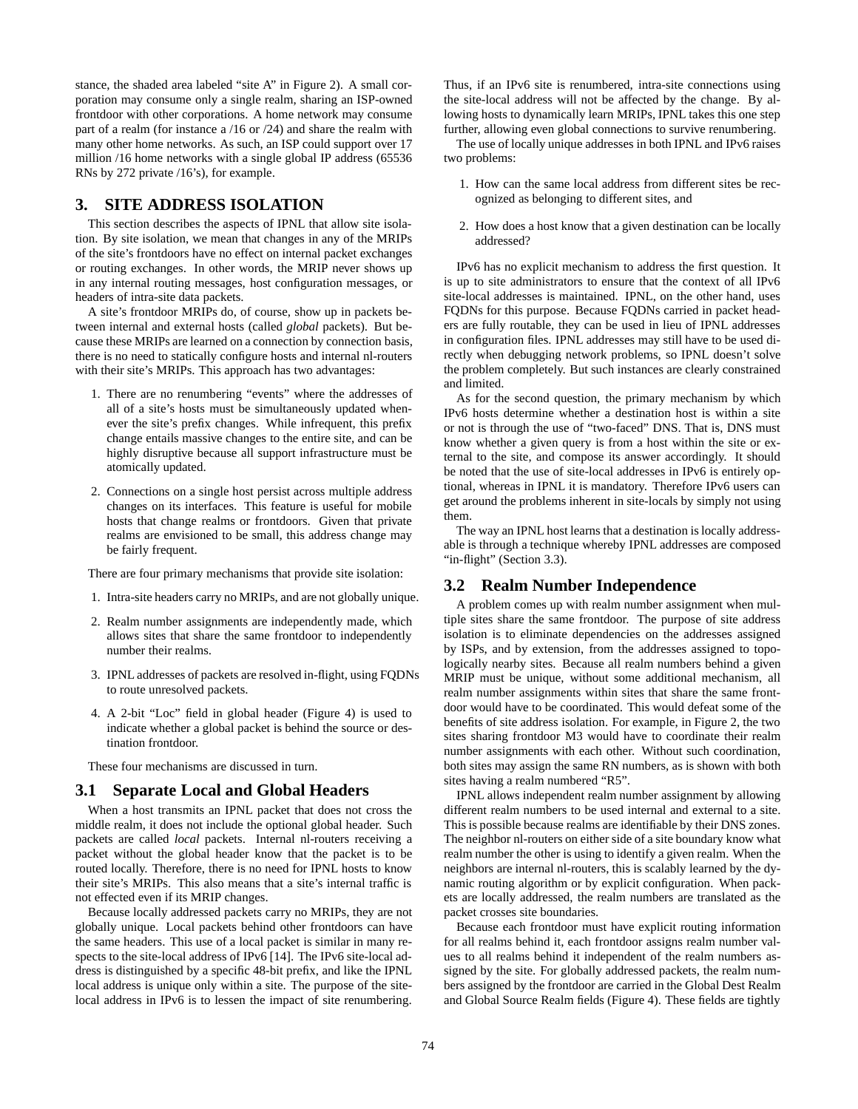stance, the shaded area labeled "site A" in Figure 2). A small corporation may consume only a single realm, sharing an ISP-owned frontdoor with other corporations. A home network may consume part of a realm (for instance a /16 or /24) and share the realm with many other home networks. As such, an ISP could support over 17 million /16 home networks with a single global IP address (65536 RNs by 272 private /16's), for example.

## **3. SITE ADDRESS ISOLATION**

This section describes the aspects of IPNL that allow site isolation. By site isolation, we mean that changes in any of the MRIPs of the site's frontdoors have no effect on internal packet exchanges or routing exchanges. In other words, the MRIP never shows up in any internal routing messages, host configuration messages, or headers of intra-site data packets.

A site's frontdoor MRIPs do, of course, show up in packets between internal and external hosts (called *global* packets). But because these MRIPs are learned on a connection by connection basis, there is no need to statically configure hosts and internal nl-routers with their site's MRIPs. This approach has two advantages:

- 1. There are no renumbering "events" where the addresses of all of a site's hosts must be simultaneously updated whenever the site's prefix changes. While infrequent, this prefix change entails massive changes to the entire site, and can be highly disruptive because all support infrastructure must be atomically updated.
- 2. Connections on a single host persist across multiple address changes on its interfaces. This feature is useful for mobile hosts that change realms or frontdoors. Given that private realms are envisioned to be small, this address change may be fairly frequent.

There are four primary mechanisms that provide site isolation:

- 1. Intra-site headers carry no MRIPs, and are not globally unique.
- 2. Realm number assignments are independently made, which allows sites that share the same frontdoor to independently number their realms.
- 3. IPNL addresses of packets are resolved in-flight, using FQDNs to route unresolved packets.
- 4. A 2-bit "Loc" field in global header (Figure 4) is used to indicate whether a global packet is behind the source or destination frontdoor.

These four mechanisms are discussed in turn.

#### **3.1 Separate Local and Global Headers**

When a host transmits an IPNL packet that does not cross the middle realm, it does not include the optional global header. Such packets are called *local* packets. Internal nl-routers receiving a packet without the global header know that the packet is to be routed locally. Therefore, there is no need for IPNL hosts to know their site's MRIPs. This also means that a site's internal traffic is not effected even if its MRIP changes.

Because locally addressed packets carry no MRIPs, they are not globally unique. Local packets behind other frontdoors can have the same headers. This use of a local packet is similar in many respects to the site-local address of IPv6 [14]. The IPv6 site-local address is distinguished by a specific 48-bit prefix, and like the IPNL local address is unique only within a site. The purpose of the sitelocal address in IPv6 is to lessen the impact of site renumbering.

Thus, if an IPv6 site is renumbered, intra-site connections using the site-local address will not be affected by the change. By allowing hosts to dynamically learn MRIPs, IPNL takes this one step further, allowing even global connections to survive renumbering.

The use of locally unique addresses in both IPNL and IPv6 raises two problems:

- 1. How can the same local address from different sites be recognized as belonging to different sites, and
- 2. How does a host know that a given destination can be locally addressed?

IPv6 has no explicit mechanism to address the first question. It is up to site administrators to ensure that the context of all IPv6 site-local addresses is maintained. IPNL, on the other hand, uses FQDNs for this purpose. Because FQDNs carried in packet headers are fully routable, they can be used in lieu of IPNL addresses in configuration files. IPNL addresses may still have to be used directly when debugging network problems, so IPNL doesn't solve the problem completely. But such instances are clearly constrained and limited.

As for the second question, the primary mechanism by which IPv6 hosts determine whether a destination host is within a site or not is through the use of "two-faced" DNS. That is, DNS must know whether a given query is from a host within the site or external to the site, and compose its answer accordingly. It should be noted that the use of site-local addresses in IPv6 is entirely optional, whereas in IPNL it is mandatory. Therefore IPv6 users can get around the problems inherent in site-locals by simply not using them.

The way an IPNL host learns that a destination is locally addressable is through a technique whereby IPNL addresses are composed "in-flight" (Section 3.3).

#### **3.2 Realm Number Independence**

A problem comes up with realm number assignment when multiple sites share the same frontdoor. The purpose of site address isolation is to eliminate dependencies on the addresses assigned by ISPs, and by extension, from the addresses assigned to topologically nearby sites. Because all realm numbers behind a given MRIP must be unique, without some additional mechanism, all realm number assignments within sites that share the same frontdoor would have to be coordinated. This would defeat some of the benefits of site address isolation. For example, in Figure 2, the two sites sharing frontdoor M3 would have to coordinate their realm number assignments with each other. Without such coordination, both sites may assign the same RN numbers, as is shown with both sites having a realm numbered "R5".

IPNL allows independent realm number assignment by allowing different realm numbers to be used internal and external to a site. This is possible because realms are identifiable by their DNS zones. The neighbor nl-routers on either side of a site boundary know what realm number the other is using to identify a given realm. When the neighbors are internal nl-routers, this is scalably learned by the dynamic routing algorithm or by explicit configuration. When packets are locally addressed, the realm numbers are translated as the packet crosses site boundaries.

Because each frontdoor must have explicit routing information for all realms behind it, each frontdoor assigns realm number values to all realms behind it independent of the realm numbers assigned by the site. For globally addressed packets, the realm numbers assigned by the frontdoor are carried in the Global Dest Realm and Global Source Realm fields (Figure 4). These fields are tightly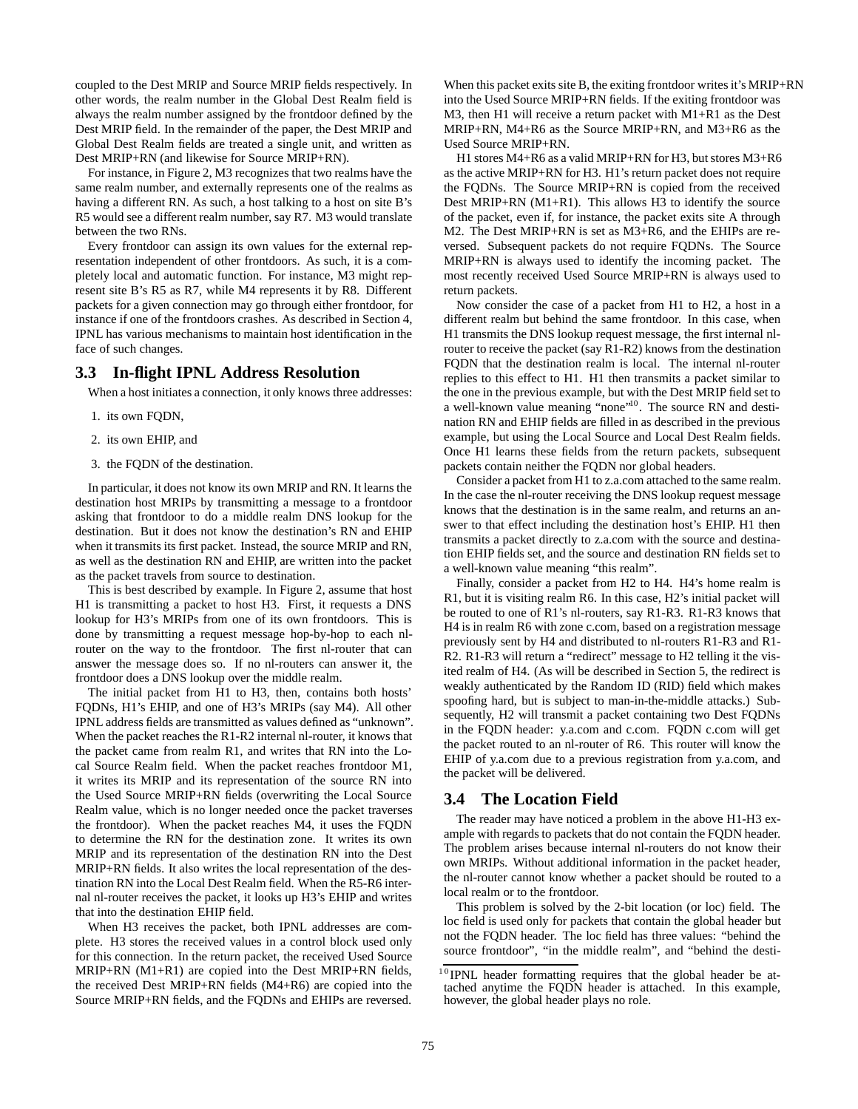coupled to the Dest MRIP and Source MRIP fields respectively. In other words, the realm number in the Global Dest Realm field is always the realm number assigned by the frontdoor defined by the Dest MRIP field. In the remainder of the paper, the Dest MRIP and Global Dest Realm fields are treated a single unit, and written as Dest MRIP+RN (and likewise for Source MRIP+RN).

For instance, in Figure 2, M3 recognizes that two realms have the same realm number, and externally represents one of the realms as having a different RN. As such, a host talking to a host on site B's R5 would see a different realm number, say R7. M3 would translate between the two RNs.

Every frontdoor can assign its own values for the external representation independent of other frontdoors. As such, it is a completely local and automatic function. For instance, M3 might represent site B's R5 as R7, while M4 represents it by R8. Different packets for a given connection may go through either frontdoor, for instance if one of the frontdoors crashes. As described in Section 4, IPNL has various mechanisms to maintain host identification in the face of such changes.

## **3.3 In-flight IPNL Address Resolution**

When a host initiates a connection, it only knows three addresses:

- 1. its own FQDN,
- 2. its own EHIP, and
- 3. the FQDN of the destination.

In particular, it does not know its own MRIP and RN. It learns the destination host MRIPs by transmitting a message to a frontdoor asking that frontdoor to do a middle realm DNS lookup for the destination. But it does not know the destination's RN and EHIP when it transmits its first packet. Instead, the source MRIP and RN, as well as the destination RN and EHIP, are written into the packet as the packet travels from source to destination.

This is best described by example. In Figure 2, assume that host H1 is transmitting a packet to host H3. First, it requests a DNS lookup for H3's MRIPs from one of its own frontdoors. This is done by transmitting a request message hop-by-hop to each nlrouter on the way to the frontdoor. The first nl-router that can answer the message does so. If no nl-routers can answer it, the frontdoor does a DNS lookup over the middle realm.

The initial packet from H1 to H3, then, contains both hosts' FQDNs, H1's EHIP, and one of H3's MRIPs (say M4). All other IPNL address fields are transmitted as values defined as "unknown". When the packet reaches the R1-R2 internal nl-router, it knows that the packet came from realm R1, and writes that RN into the Local Source Realm field. When the packet reaches frontdoor M1, it writes its MRIP and its representation of the source RN into the Used Source MRIP+RN fields (overwriting the Local Source Realm value, which is no longer needed once the packet traverses the frontdoor). When the packet reaches M4, it uses the FQDN to determine the RN for the destination zone. It writes its own MRIP and its representation of the destination RN into the Dest MRIP+RN fields. It also writes the local representation of the destination RN into the Local Dest Realm field. When the R5-R6 internal nl-router receives the packet, it looks up H3's EHIP and writes that into the destination EHIP field.

When H3 receives the packet, both IPNL addresses are complete. H3 stores the received values in a control block used only for this connection. In the return packet, the received Used Source MRIP+RN (M1+R1) are copied into the Dest MRIP+RN fields, the received Dest MRIP+RN fields (M4+R6) are copied into the Source MRIP+RN fields, and the FQDNs and EHIPs are reversed.

When this packet exits site B, the exiting frontdoor writes it's MRIP+RN into the Used Source MRIP+RN fields. If the exiting frontdoor was M3, then H1 will receive a return packet with M1+R1 as the Dest MRIP+RN, M4+R6 as the Source MRIP+RN, and M3+R6 as the Used Source MRIP+RN.

H1 stores M4+R6 as a valid MRIP+RN for H3, but stores M3+R6 as the active MRIP+RN for H3. H1's return packet does not require the FQDNs. The Source MRIP+RN is copied from the received Dest MRIP+RN (M1+R1). This allows H3 to identify the source of the packet, even if, for instance, the packet exits site A through M2. The Dest MRIP+RN is set as M3+R6, and the EHIPs are reversed. Subsequent packets do not require FQDNs. The Source MRIP+RN is always used to identify the incoming packet. The most recently received Used Source MRIP+RN is always used to return packets.

Now consider the case of a packet from H1 to H2, a host in a different realm but behind the same frontdoor. In this case, when H1 transmits the DNS lookup request message, the first internal nlrouter to receive the packet (say R1-R2) knows from the destination FQDN that the destination realm is local. The internal nl-router replies to this effect to H1. H1 then transmits a packet similar to the one in the previous example, but with the Dest MRIP field set to a well-known value meaning "none"<sup>10</sup>. The source RN and destination RN and EHIP fields are filled in as described in the previous example, but using the Local Source and Local Dest Realm fields. Once H1 learns these fields from the return packets, subsequent packets contain neither the FQDN nor global headers.

Consider a packet from H1 to z.a.com attached to the same realm. In the case the nl-router receiving the DNS lookup request message knows that the destination is in the same realm, and returns an answer to that effect including the destination host's EHIP. H1 then transmits a packet directly to z.a.com with the source and destination EHIP fields set, and the source and destination RN fields set to a well-known value meaning "this realm".

Finally, consider a packet from H2 to H4. H4's home realm is R1, but it is visiting realm R6. In this case, H2's initial packet will be routed to one of R1's nl-routers, say R1-R3. R1-R3 knows that H4 is in realm R6 with zone c.com, based on a registration message previously sent by H4 and distributed to nl-routers R1-R3 and R1- R2. R1-R3 will return a "redirect" message to H2 telling it the visited realm of H4. (As will be described in Section 5, the redirect is weakly authenticated by the Random ID (RID) field which makes spoofing hard, but is subject to man-in-the-middle attacks.) Subsequently, H2 will transmit a packet containing two Dest FQDNs in the FQDN header: y.a.com and c.com. FQDN c.com will get the packet routed to an nl-router of R6. This router will know the EHIP of y.a.com due to a previous registration from y.a.com, and the packet will be delivered.

#### **3.4 The Location Field**

The reader may have noticed a problem in the above H1-H3 example with regards to packets that do not contain the FQDN header. The problem arises because internal nl-routers do not know their own MRIPs. Without additional information in the packet header, the nl-router cannot know whether a packet should be routed to a local realm or to the frontdoor.

This problem is solved by the 2-bit location (or loc) field. The loc field is used only for packets that contain the global header but not the FQDN header. The loc field has three values: "behind the source frontdoor", "in the middle realm", and "behind the desti-

 $10$  IPNL header formatting requires that the global header be attached anytime the FQDN header is attached. In this example, however, the global header plays no role.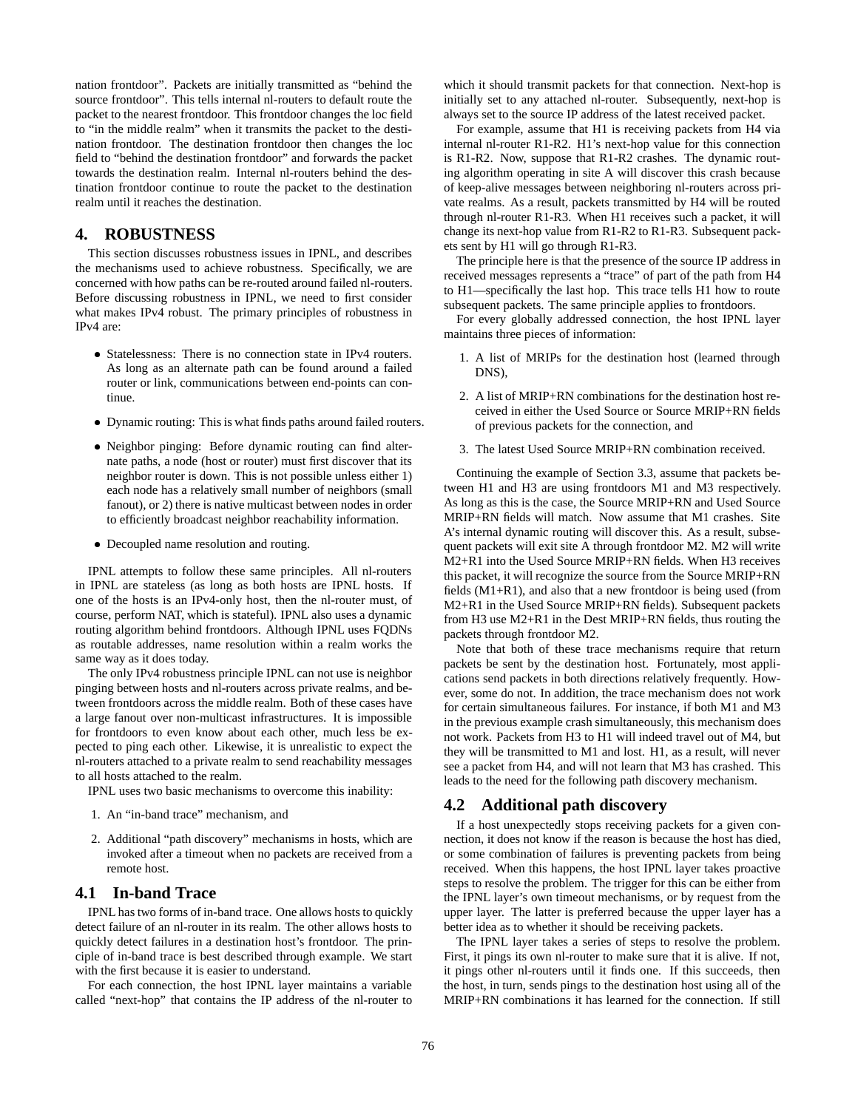nation frontdoor". Packets are initially transmitted as "behind the source frontdoor". This tells internal nl-routers to default route the packet to the nearest frontdoor. This frontdoor changes the loc field to "in the middle realm" when it transmits the packet to the destination frontdoor. The destination frontdoor then changes the loc field to "behind the destination frontdoor" and forwards the packet towards the destination realm. Internal nl-routers behind the destination frontdoor continue to route the packet to the destination realm until it reaches the destination.

## **4. ROBUSTNESS**

This section discusses robustness issues in IPNL, and describes the mechanisms used to achieve robustness. Specifically, we are concerned with how paths can be re-routed around failed nl-routers. Before discussing robustness in IPNL, we need to first consider what makes IPv4 robust. The primary principles of robustness in IPv4 are:

- Statelessness: There is no connection state in IPv4 routers. As long as an alternate path can be found around a failed router or link, communications between end-points can continue.
- Dynamic routing: This is what finds paths around failed routers.
- Neighbor pinging: Before dynamic routing can find alternate paths, a node (host or router) must first discover that its neighbor router is down. This is not possible unless either 1) each node has a relatively small number of neighbors (small fanout), or 2) there is native multicast between nodes in order to efficiently broadcast neighbor reachability information.
- Decoupled name resolution and routing.

IPNL attempts to follow these same principles. All nl-routers in IPNL are stateless (as long as both hosts are IPNL hosts. If one of the hosts is an IPv4-only host, then the nl-router must, of course, perform NAT, which is stateful). IPNL also uses a dynamic routing algorithm behind frontdoors. Although IPNL uses FQDNs as routable addresses, name resolution within a realm works the same way as it does today.

The only IPv4 robustness principle IPNL can not use is neighbor pinging between hosts and nl-routers across private realms, and between frontdoors across the middle realm. Both of these cases have a large fanout over non-multicast infrastructures. It is impossible for frontdoors to even know about each other, much less be expected to ping each other. Likewise, it is unrealistic to expect the nl-routers attached to a private realm to send reachability messages to all hosts attached to the realm.

IPNL uses two basic mechanisms to overcome this inability:

- 1. An "in-band trace" mechanism, and
- 2. Additional "path discovery" mechanisms in hosts, which are invoked after a timeout when no packets are received from a remote host.

# **4.1 In-band Trace**

IPNL has two forms of in-band trace. One allows hosts to quickly detect failure of an nl-router in its realm. The other allows hosts to quickly detect failures in a destination host's frontdoor. The principle of in-band trace is best described through example. We start with the first because it is easier to understand.

For each connection, the host IPNL layer maintains a variable called "next-hop" that contains the IP address of the nl-router to which it should transmit packets for that connection. Next-hop is initially set to any attached nl-router. Subsequently, next-hop is always set to the source IP address of the latest received packet.

For example, assume that H1 is receiving packets from H4 via internal nl-router R1-R2. H1's next-hop value for this connection is R1-R2. Now, suppose that R1-R2 crashes. The dynamic routing algorithm operating in site A will discover this crash because of keep-alive messages between neighboring nl-routers across private realms. As a result, packets transmitted by H4 will be routed through nl-router R1-R3. When H1 receives such a packet, it will change its next-hop value from R1-R2 to R1-R3. Subsequent packets sent by H1 will go through R1-R3.

The principle here is that the presence of the source IP address in received messages represents a "trace" of part of the path from H4 to H1—specifically the last hop. This trace tells H1 how to route subsequent packets. The same principle applies to frontdoors.

For every globally addressed connection, the host IPNL layer maintains three pieces of information:

- 1. A list of MRIPs for the destination host (learned through DNS),
- 2. A list of MRIP+RN combinations for the destination host received in either the Used Source or Source MRIP+RN fields of previous packets for the connection, and
- 3. The latest Used Source MRIP+RN combination received.

Continuing the example of Section 3.3, assume that packets between H1 and H3 are using frontdoors M1 and M3 respectively. As long as this is the case, the Source MRIP+RN and Used Source MRIP+RN fields will match. Now assume that M1 crashes. Site A's internal dynamic routing will discover this. As a result, subsequent packets will exit site A through frontdoor M2. M2 will write M2+R1 into the Used Source MRIP+RN fields. When H3 receives this packet, it will recognize the source from the Source MRIP+RN fields (M1+R1), and also that a new frontdoor is being used (from M2+R1 in the Used Source MRIP+RN fields). Subsequent packets from H3 use M2+R1 in the Dest MRIP+RN fields, thus routing the packets through frontdoor M2.

Note that both of these trace mechanisms require that return packets be sent by the destination host. Fortunately, most applications send packets in both directions relatively frequently. However, some do not. In addition, the trace mechanism does not work for certain simultaneous failures. For instance, if both M1 and M3 in the previous example crash simultaneously, this mechanism does not work. Packets from H3 to H1 will indeed travel out of M4, but they will be transmitted to M1 and lost. H1, as a result, will never see a packet from H4, and will not learn that M3 has crashed. This leads to the need for the following path discovery mechanism.

#### **4.2 Additional path discovery**

If a host unexpectedly stops receiving packets for a given connection, it does not know if the reason is because the host has died, or some combination of failures is preventing packets from being received. When this happens, the host IPNL layer takes proactive steps to resolve the problem. The trigger for this can be either from the IPNL layer's own timeout mechanisms, or by request from the upper layer. The latter is preferred because the upper layer has a better idea as to whether it should be receiving packets.

The IPNL layer takes a series of steps to resolve the problem. First, it pings its own nl-router to make sure that it is alive. If not, it pings other nl-routers until it finds one. If this succeeds, then the host, in turn, sends pings to the destination host using all of the MRIP+RN combinations it has learned for the connection. If still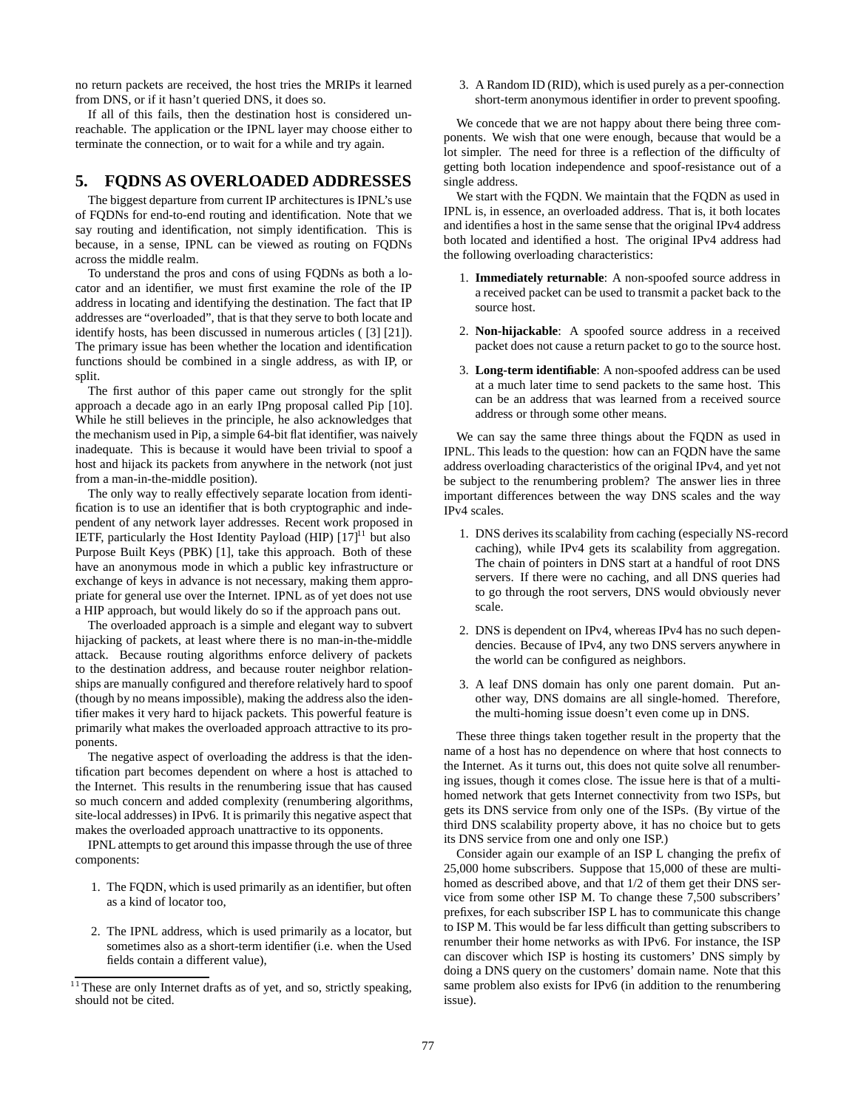no return packets are received, the host tries the MRIPs it learned from DNS, or if it hasn't queried DNS, it does so.

If all of this fails, then the destination host is considered unreachable. The application or the IPNL layer may choose either to terminate the connection, or to wait for a while and try again.

## **5. FQDNS AS OVERLOADED ADDRESSES**

The biggest departure from current IP architectures is IPNL's use of FQDNs for end-to-end routing and identification. Note that we say routing and identification, not simply identification. This is because, in a sense, IPNL can be viewed as routing on FQDNs across the middle realm.

To understand the pros and cons of using FQDNs as both a locator and an identifier, we must first examine the role of the IP address in locating and identifying the destination. The fact that IP addresses are "overloaded", that is that they serve to both locate and identify hosts, has been discussed in numerous articles ( [3] [21]). The primary issue has been whether the location and identification functions should be combined in a single address, as with IP, or split.

The first author of this paper came out strongly for the split approach a decade ago in an early IPng proposal called Pip [10]. While he still believes in the principle, he also acknowledges that the mechanism used in Pip, a simple 64-bit flat identifier, was naively inadequate. This is because it would have been trivial to spoof a host and hijack its packets from anywhere in the network (not just from a man-in-the-middle position).

The only way to really effectively separate location from identification is to use an identifier that is both cryptographic and independent of any network layer addresses. Recent work proposed in IETF, particularly the Host Identity Payload (HIP)  $[17]$ <sup>11</sup> but also Purpose Built Keys (PBK) [1], take this approach. Both of these have an anonymous mode in which a public key infrastructure or exchange of keys in advance is not necessary, making them appropriate for general use over the Internet. IPNL as of yet does not use a HIP approach, but would likely do so if the approach pans out.

The overloaded approach is a simple and elegant way to subvert hijacking of packets, at least where there is no man-in-the-middle attack. Because routing algorithms enforce delivery of packets to the destination address, and because router neighbor relationships are manually configured and therefore relatively hard to spoof (though by no means impossible), making the address also the identifier makes it very hard to hijack packets. This powerful feature is primarily what makes the overloaded approach attractive to its proponents.

The negative aspect of overloading the address is that the identification part becomes dependent on where a host is attached to the Internet. This results in the renumbering issue that has caused so much concern and added complexity (renumbering algorithms, site-local addresses) in IPv6. It is primarily this negative aspect that makes the overloaded approach unattractive to its opponents.

IPNL attempts to get around this impasse through the use of three components:

- 1. The FQDN, which is used primarily as an identifier, but often as a kind of locator too,
- 2. The IPNL address, which is used primarily as a locator, but sometimes also as a short-term identifier (i.e. when the Used fields contain a different value),

3. A Random ID (RID), which is used purely as a per-connection short-term anonymous identifier in order to prevent spoofing.

We concede that we are not happy about there being three components. We wish that one were enough, because that would be a lot simpler. The need for three is a reflection of the difficulty of getting both location independence and spoof-resistance out of a single address.

We start with the FODN. We maintain that the FODN as used in IPNL is, in essence, an overloaded address. That is, it both locates and identifies a host in the same sense that the original IPv4 address both located and identified a host. The original IPv4 address had the following overloading characteristics:

- 1. **Immediately returnable**: A non-spoofed source address in a received packet can be used to transmit a packet back to the source host.
- 2. **Non-hijackable**: A spoofed source address in a received packet does not cause a return packet to go to the source host.
- 3. **Long-term identifiable**: A non-spoofed address can be used at a much later time to send packets to the same host. This can be an address that was learned from a received source address or through some other means.

We can say the same three things about the FQDN as used in IPNL. This leads to the question: how can an FQDN have the same address overloading characteristics of the original IPv4, and yet not be subject to the renumbering problem? The answer lies in three important differences between the way DNS scales and the way IPv4 scales.

- 1. DNS derives its scalability from caching (especially NS-record caching), while IPv4 gets its scalability from aggregation. The chain of pointers in DNS start at a handful of root DNS servers. If there were no caching, and all DNS queries had to go through the root servers, DNS would obviously never scale.
- 2. DNS is dependent on IPv4, whereas IPv4 has no such dependencies. Because of IPv4, any two DNS servers anywhere in the world can be configured as neighbors.
- 3. A leaf DNS domain has only one parent domain. Put another way, DNS domains are all single-homed. Therefore, the multi-homing issue doesn't even come up in DNS.

These three things taken together result in the property that the name of a host has no dependence on where that host connects to the Internet. As it turns out, this does not quite solve all renumbering issues, though it comes close. The issue here is that of a multihomed network that gets Internet connectivity from two ISPs, but gets its DNS service from only one of the ISPs. (By virtue of the third DNS scalability property above, it has no choice but to gets its DNS service from one and only one ISP.)

Consider again our example of an ISP L changing the prefix of 25,000 home subscribers. Suppose that 15,000 of these are multihomed as described above, and that 1/2 of them get their DNS service from some other ISP M. To change these 7,500 subscribers' prefixes, for each subscriber ISP L has to communicate this change to ISP M. This would be far less difficult than getting subscribers to renumber their home networks as with IPv6. For instance, the ISP can discover which ISP is hosting its customers' DNS simply by doing a DNS query on the customers' domain name. Note that this same problem also exists for IPv6 (in addition to the renumbering issue).

 $11$ <sup>11</sup> These are only Internet drafts as of yet, and so, strictly speaking, should not be cited.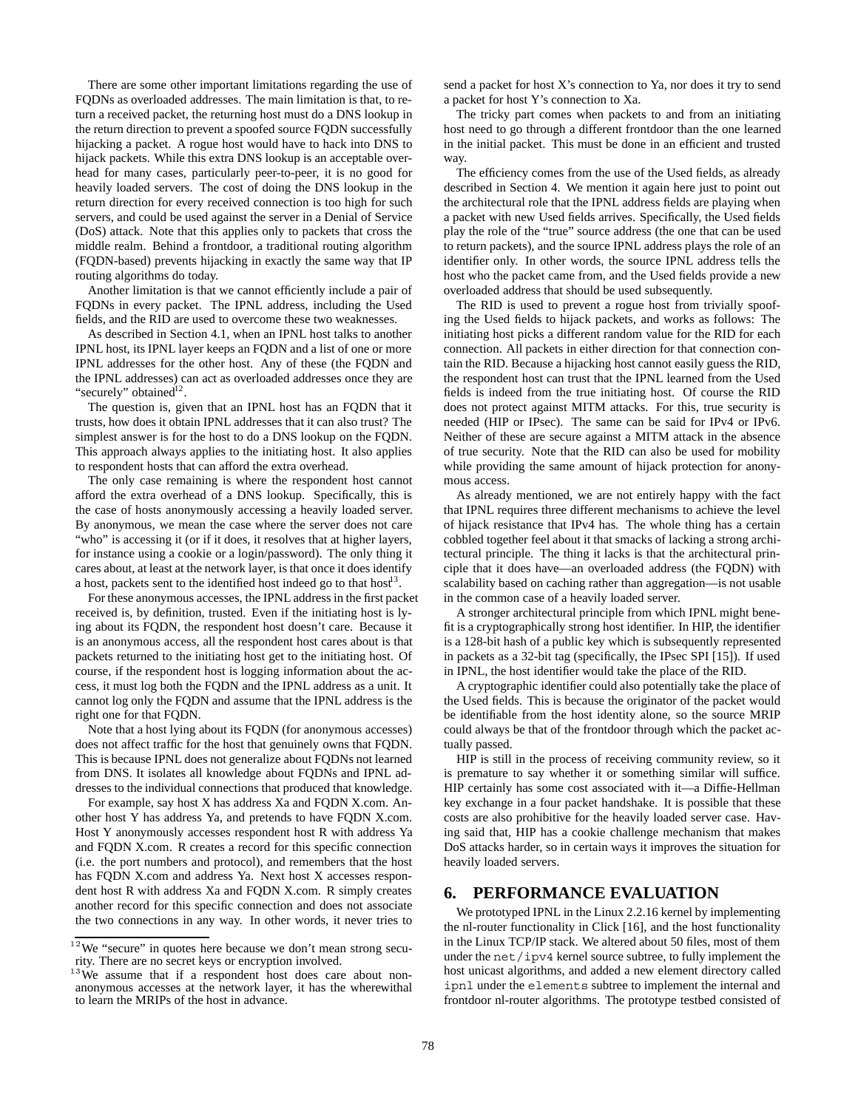There are some other important limitations regarding the use of FQDNs as overloaded addresses. The main limitation is that, to return a received packet, the returning host must do a DNS lookup in the return direction to prevent a spoofed source FQDN successfully hijacking a packet. A rogue host would have to hack into DNS to hijack packets. While this extra DNS lookup is an acceptable overhead for many cases, particularly peer-to-peer, it is no good for heavily loaded servers. The cost of doing the DNS lookup in the return direction for every received connection is too high for such servers, and could be used against the server in a Denial of Service (DoS) attack. Note that this applies only to packets that cross the middle realm. Behind a frontdoor, a traditional routing algorithm (FQDN-based) prevents hijacking in exactly the same way that IP routing algorithms do today.

Another limitation is that we cannot efficiently include a pair of FQDNs in every packet. The IPNL address, including the Used fields, and the RID are used to overcome these two weaknesses.

As described in Section 4.1, when an IPNL host talks to another IPNL host, its IPNL layer keeps an FQDN and a list of one or more IPNL addresses for the other host. Any of these (the FQDN and the IPNL addresses) can act as overloaded addresses once they are "securely" obtained<sup>12</sup>.

The question is, given that an IPNL host has an FQDN that it trusts, how does it obtain IPNL addresses that it can also trust? The simplest answer is for the host to do a DNS lookup on the FQDN. This approach always applies to the initiating host. It also applies to respondent hosts that can afford the extra overhead.

The only case remaining is where the respondent host cannot afford the extra overhead of a DNS lookup. Specifically, this is the case of hosts anonymously accessing a heavily loaded server. By anonymous, we mean the case where the server does not care "who" is accessing it (or if it does, it resolves that at higher layers, for instance using a cookie or a login/password). The only thing it cares about, at least at the network layer, is that once it does identify a host, packets sent to the identified host indeed go to that  $\text{host}^{13}$ .

For these anonymous accesses, the IPNL address in the first packet received is, by definition, trusted. Even if the initiating host is lying about its FQDN, the respondent host doesn't care. Because it is an anonymous access, all the respondent host cares about is that packets returned to the initiating host get to the initiating host. Of course, if the respondent host is logging information about the access, it must log both the FQDN and the IPNL address as a unit. It cannot log only the FQDN and assume that the IPNL address is the right one for that FQDN.

Note that a host lying about its FQDN (for anonymous accesses) does not affect traffic for the host that genuinely owns that FQDN. This is because IPNL does not generalize about FQDNs not learned from DNS. It isolates all knowledge about FQDNs and IPNL addresses to the individual connections that produced that knowledge.

For example, say host X has address Xa and FQDN X.com. Another host Y has address Ya, and pretends to have FQDN X.com. Host Y anonymously accesses respondent host R with address Ya and FQDN X.com. R creates a record for this specific connection (i.e. the port numbers and protocol), and remembers that the host has FQDN X.com and address Ya. Next host X accesses respondent host R with address Xa and FQDN X.com. R simply creates another record for this specific connection and does not associate the two connections in any way. In other words, it never tries to

send a packet for host X's connection to Ya, nor does it try to send a packet for host Y's connection to Xa.

The tricky part comes when packets to and from an initiating host need to go through a different frontdoor than the one learned in the initial packet. This must be done in an efficient and trusted way.

The efficiency comes from the use of the Used fields, as already described in Section 4. We mention it again here just to point out the architectural role that the IPNL address fields are playing when a packet with new Used fields arrives. Specifically, the Used fields play the role of the "true" source address (the one that can be used to return packets), and the source IPNL address plays the role of an identifier only. In other words, the source IPNL address tells the host who the packet came from, and the Used fields provide a new overloaded address that should be used subsequently.

The RID is used to prevent a rogue host from trivially spoofing the Used fields to hijack packets, and works as follows: The initiating host picks a different random value for the RID for each connection. All packets in either direction for that connection contain the RID. Because a hijacking host cannot easily guess the RID, the respondent host can trust that the IPNL learned from the Used fields is indeed from the true initiating host. Of course the RID does not protect against MITM attacks. For this, true security is needed (HIP or IPsec). The same can be said for IPv4 or IPv6. Neither of these are secure against a MITM attack in the absence of true security. Note that the RID can also be used for mobility while providing the same amount of hijack protection for anonymous access.

As already mentioned, we are not entirely happy with the fact that IPNL requires three different mechanisms to achieve the level of hijack resistance that IPv4 has. The whole thing has a certain cobbled together feel about it that smacks of lacking a strong architectural principle. The thing it lacks is that the architectural principle that it does have—an overloaded address (the FQDN) with scalability based on caching rather than aggregation—is not usable in the common case of a heavily loaded server.

A stronger architectural principle from which IPNL might benefit is a cryptographically strong host identifier. In HIP, the identifier is a 128-bit hash of a public key which is subsequently represented in packets as a 32-bit tag (specifically, the IPsec SPI [15]). If used in IPNL, the host identifier would take the place of the RID.

A cryptographic identifier could also potentially take the place of the Used fields. This is because the originator of the packet would be identifiable from the host identity alone, so the source MRIP could always be that of the frontdoor through which the packet actually passed.

HIP is still in the process of receiving community review, so it is premature to say whether it or something similar will suffice. HIP certainly has some cost associated with it—a Diffie-Hellman key exchange in a four packet handshake. It is possible that these costs are also prohibitive for the heavily loaded server case. Having said that, HIP has a cookie challenge mechanism that makes DoS attacks harder, so in certain ways it improves the situation for heavily loaded servers.

## **6. PERFORMANCE EVALUATION**

We prototyped IPNL in the Linux 2.2.16 kernel by implementing the nl-router functionality in Click [16], and the host functionality in the Linux TCP/IP stack. We altered about 50 files, most of them under the net/ipv4 kernel source subtree, to fully implement the host unicast algorithms, and added a new element directory called ipnl under the elements subtree to implement the internal and frontdoor nl-router algorithms. The prototype testbed consisted of

 $12$  We "secure" in quotes here because we don't mean strong security. There are no secret keys or encryption involved.

 $13$  We assume that if a respondent host does care about nonanonymous accesses at the network layer, it has the wherewithal to learn the MRIPs of the host in advance.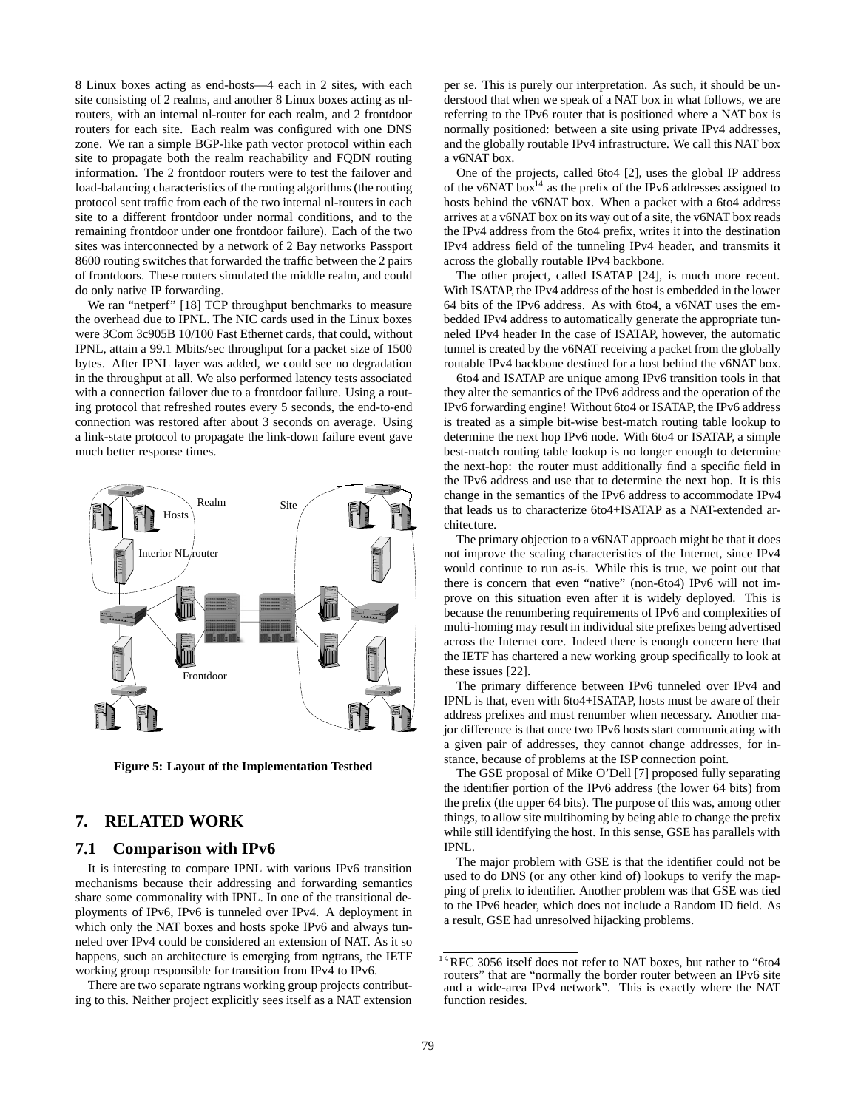8 Linux boxes acting as end-hosts—4 each in 2 sites, with each site consisting of 2 realms, and another 8 Linux boxes acting as nlrouters, with an internal nl-router for each realm, and 2 frontdoor routers for each site. Each realm was configured with one DNS zone. We ran a simple BGP-like path vector protocol within each site to propagate both the realm reachability and FQDN routing information. The 2 frontdoor routers were to test the failover and load-balancing characteristics of the routing algorithms (the routing protocol sent traffic from each of the two internal nl-routers in each site to a different frontdoor under normal conditions, and to the remaining frontdoor under one frontdoor failure). Each of the two sites was interconnected by a network of 2 Bay networks Passport 8600 routing switches that forwarded the traffic between the 2 pairs of frontdoors. These routers simulated the middle realm, and could do only native IP forwarding.

We ran "netperf" [18] TCP throughput benchmarks to measure the overhead due to IPNL. The NIC cards used in the Linux boxes were 3Com 3c905B 10/100 Fast Ethernet cards, that could, without IPNL, attain a 99.1 Mbits/sec throughput for a packet size of 1500 bytes. After IPNL layer was added, we could see no degradation in the throughput at all. We also performed latency tests associated with a connection failover due to a frontdoor failure. Using a routing protocol that refreshed routes every 5 seconds, the end-to-end connection was restored after about 3 seconds on average. Using a link-state protocol to propagate the link-down failure event gave much better response times.



**Figure 5: Layout of the Implementation Testbed**

## **7. RELATED WORK**

#### **7.1 Comparison with IPv6**

It is interesting to compare IPNL with various IPv6 transition mechanisms because their addressing and forwarding semantics share some commonality with IPNL. In one of the transitional deployments of IPv6, IPv6 is tunneled over IPv4. A deployment in which only the NAT boxes and hosts spoke IPv6 and always tunneled over IPv4 could be considered an extension of NAT. As it so happens, such an architecture is emerging from ngtrans, the IETF working group responsible for transition from IPv4 to IPv6.

There are two separate ngtrans working group projects contributing to this. Neither project explicitly sees itself as a NAT extension per se. This is purely our interpretation. As such, it should be understood that when we speak of a NAT box in what follows, we are referring to the IPv6 router that is positioned where a NAT box is normally positioned: between a site using private IPv4 addresses, and the globally routable IPv4 infrastructure. We call this NAT box a v6NAT box.

One of the projects, called 6to4 [2], uses the global IP address of the v6NAT box<sup>14</sup> as the prefix of the IPv6 addresses assigned to hosts behind the v6NAT box. When a packet with a 6to4 address arrives at a v6NAT box on its way out of a site, the v6NAT box reads the IPv4 address from the 6to4 prefix, writes it into the destination IPv4 address field of the tunneling IPv4 header, and transmits it across the globally routable IPv4 backbone.

The other project, called ISATAP [24], is much more recent. With ISATAP, the IPv4 address of the host is embedded in the lower 64 bits of the IPv6 address. As with 6to4, a v6NAT uses the embedded IPv4 address to automatically generate the appropriate tunneled IPv4 header In the case of ISATAP, however, the automatic tunnel is created by the v6NAT receiving a packet from the globally routable IPv4 backbone destined for a host behind the v6NAT box.

6to4 and ISATAP are unique among IPv6 transition tools in that they alter the semantics of the IPv6 address and the operation of the IPv6 forwarding engine! Without 6to4 or ISATAP, the IPv6 address is treated as a simple bit-wise best-match routing table lookup to determine the next hop IPv6 node. With 6to4 or ISATAP, a simple best-match routing table lookup is no longer enough to determine the next-hop: the router must additionally find a specific field in the IPv6 address and use that to determine the next hop. It is this change in the semantics of the IPv6 address to accommodate IPv4 that leads us to characterize 6to4+ISATAP as a NAT-extended architecture.

The primary objection to a v6NAT approach might be that it does not improve the scaling characteristics of the Internet, since IPv4 would continue to run as-is. While this is true, we point out that there is concern that even "native" (non-6to4) IPv6 will not improve on this situation even after it is widely deployed. This is because the renumbering requirements of IPv6 and complexities of multi-homing may result in individual site prefixes being advertised across the Internet core. Indeed there is enough concern here that the IETF has chartered a new working group specifically to look at these issues [22].

The primary difference between IPv6 tunneled over IPv4 and IPNL is that, even with 6to4+ISATAP, hosts must be aware of their address prefixes and must renumber when necessary. Another major difference is that once two IPv6 hosts start communicating with a given pair of addresses, they cannot change addresses, for instance, because of problems at the ISP connection point.

The GSE proposal of Mike O'Dell [7] proposed fully separating the identifier portion of the IPv6 address (the lower 64 bits) from the prefix (the upper 64 bits). The purpose of this was, among other things, to allow site multihoming by being able to change the prefix while still identifying the host. In this sense, GSE has parallels with IPNL.

The major problem with GSE is that the identifier could not be used to do DNS (or any other kind of) lookups to verify the mapping of prefix to identifier. Another problem was that GSE was tied to the IPv6 header, which does not include a Random ID field. As a result, GSE had unresolved hijacking problems.

 $14$ RFC 3056 itself does not refer to NAT boxes, but rather to "6to4 routers" that are "normally the border router between an IPv6 site and a wide-area IPv4 network". This is exactly where the NAT function resides.